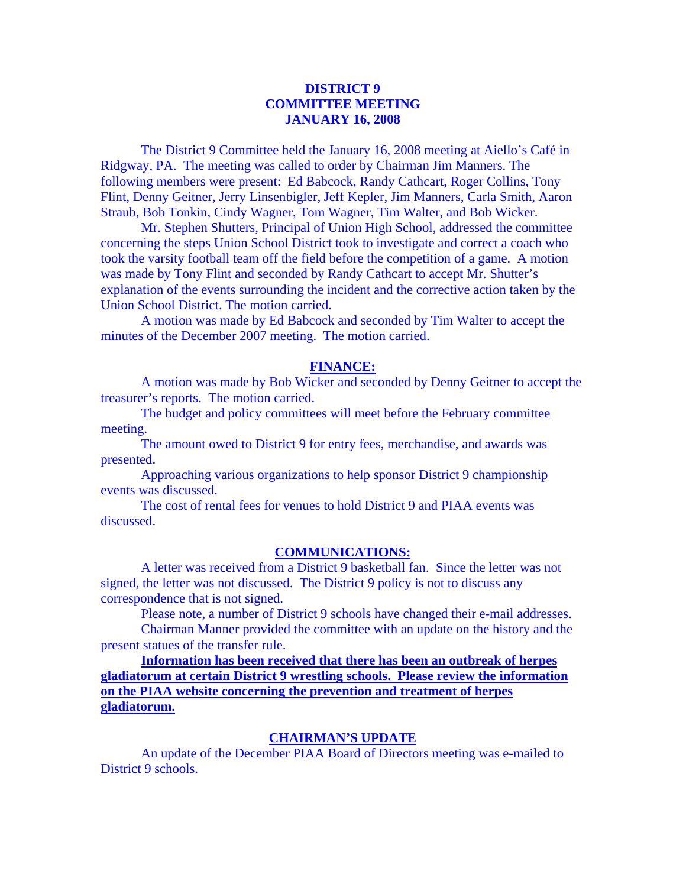# **DISTRICT 9 COMMITTEE MEETING JANUARY 16, 2008**

 The District 9 Committee held the January 16, 2008 meeting at Aiello's Café in Ridgway, PA. The meeting was called to order by Chairman Jim Manners. The following members were present: Ed Babcock, Randy Cathcart, Roger Collins, Tony Flint, Denny Geitner, Jerry Linsenbigler, Jeff Kepler, Jim Manners, Carla Smith, Aaron Straub, Bob Tonkin, Cindy Wagner, Tom Wagner, Tim Walter, and Bob Wicker.

 Mr. Stephen Shutters, Principal of Union High School, addressed the committee concerning the steps Union School District took to investigate and correct a coach who took the varsity football team off the field before the competition of a game. A motion was made by Tony Flint and seconded by Randy Cathcart to accept Mr. Shutter's explanation of the events surrounding the incident and the corrective action taken by the Union School District. The motion carried.

 A motion was made by Ed Babcock and seconded by Tim Walter to accept the minutes of the December 2007 meeting. The motion carried.

#### **FINANCE:**

A motion was made by Bob Wicker and seconded by Denny Geitner to accept the treasurer's reports. The motion carried.

 The budget and policy committees will meet before the February committee meeting.

 The amount owed to District 9 for entry fees, merchandise, and awards was presented.

 Approaching various organizations to help sponsor District 9 championship events was discussed.

 The cost of rental fees for venues to hold District 9 and PIAA events was discussed.

#### **COMMUNICATIONS:**

 A letter was received from a District 9 basketball fan. Since the letter was not signed, the letter was not discussed. The District 9 policy is not to discuss any correspondence that is not signed.

Please note, a number of District 9 schools have changed their e-mail addresses.

 Chairman Manner provided the committee with an update on the history and the present statues of the transfer rule.

 **Information has been received that there has been an outbreak of herpes gladiatorum at certain District 9 wrestling schools. Please review the information on the PIAA website concerning the prevention and treatment of herpes gladiatorum.**

### **CHAIRMAN'S UPDATE**

 An update of the December PIAA Board of Directors meeting was e-mailed to District 9 schools.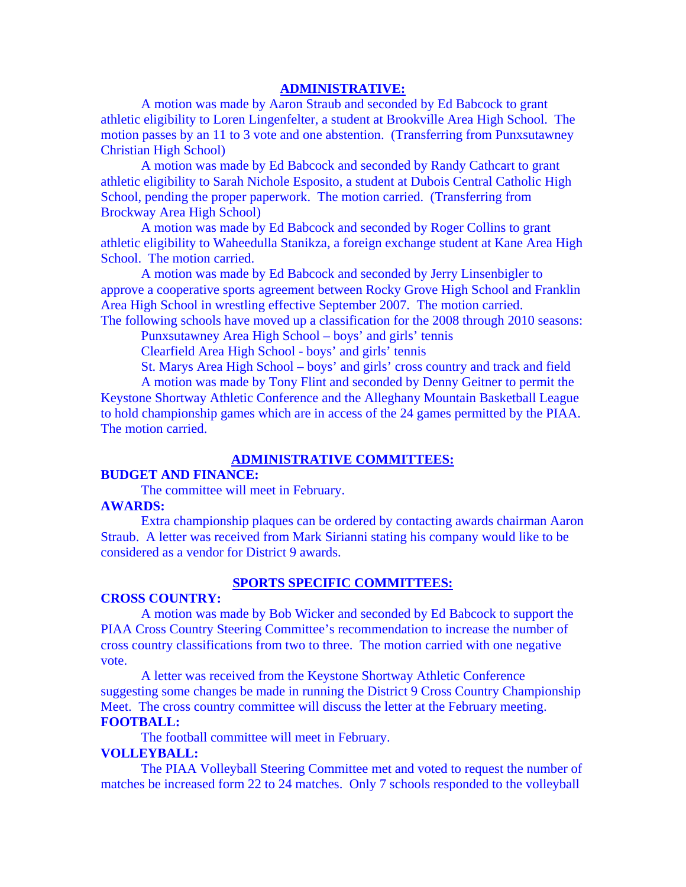## **ADMINISTRATIVE:**

 A motion was made by Aaron Straub and seconded by Ed Babcock to grant athletic eligibility to Loren Lingenfelter, a student at Brookville Area High School. The motion passes by an 11 to 3 vote and one abstention. (Transferring from Punxsutawney Christian High School)

 A motion was made by Ed Babcock and seconded by Randy Cathcart to grant athletic eligibility to Sarah Nichole Esposito, a student at Dubois Central Catholic High School, pending the proper paperwork. The motion carried. (Transferring from Brockway Area High School)

 A motion was made by Ed Babcock and seconded by Roger Collins to grant athletic eligibility to Waheedulla Stanikza, a foreign exchange student at Kane Area High School. The motion carried.

 A motion was made by Ed Babcock and seconded by Jerry Linsenbigler to approve a cooperative sports agreement between Rocky Grove High School and Franklin Area High School in wrestling effective September 2007. The motion carried. The following schools have moved up a classification for the 2008 through 2010 seasons:

Punxsutawney Area High School – boys' and girls' tennis

Clearfield Area High School - boys' and girls' tennis

St. Marys Area High School – boys' and girls' cross country and track and field

 A motion was made by Tony Flint and seconded by Denny Geitner to permit the Keystone Shortway Athletic Conference and the Alleghany Mountain Basketball League to hold championship games which are in access of the 24 games permitted by the PIAA. The motion carried.

### **ADMINISTRATIVE COMMITTEES:**

### **BUDGET AND FINANCE:**

The committee will meet in February.

#### **AWARDS:**

 Extra championship plaques can be ordered by contacting awards chairman Aaron Straub. A letter was received from Mark Sirianni stating his company would like to be considered as a vendor for District 9 awards.

### **SPORTS SPECIFIC COMMITTEES:**

#### **CROSS COUNTRY:**

 A motion was made by Bob Wicker and seconded by Ed Babcock to support the PIAA Cross Country Steering Committee's recommendation to increase the number of cross country classifications from two to three. The motion carried with one negative vote.

 A letter was received from the Keystone Shortway Athletic Conference suggesting some changes be made in running the District 9 Cross Country Championship Meet. The cross country committee will discuss the letter at the February meeting. **FOOTBALL:** 

The football committee will meet in February.

## **VOLLEYBALL:**

The PIAA Volleyball Steering Committee met and voted to request the number of matches be increased form 22 to 24 matches. Only 7 schools responded to the volleyball